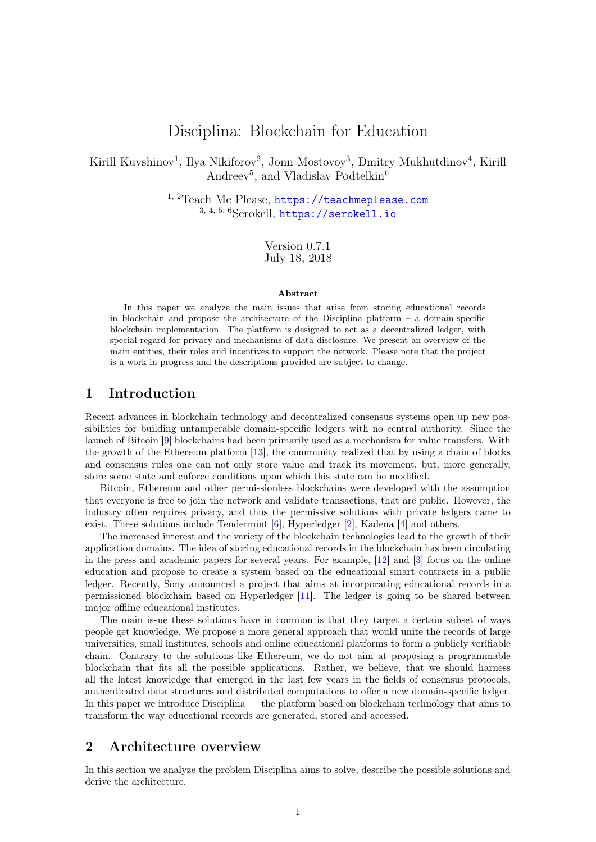# Disciplina: Blockchain for Education

<span id="page-0-1"></span>Kirill Kuvshinov<sup>1</sup>, Ilya Nikiforov<sup>2</sup>, Jonn Mostovoy<sup>3</sup>, Dmitry Mukhutdinov<sup>4</sup>, Kirill Andreev<sup>5</sup>, and Vladislav Podtelkin<sup>6</sup>

> 1, 2Teach Me Please, <https://teachmeplease.com>  $3, 4, 5, 6$ Serokell, <https://serokell.io>

> > Version 0.7.1 July 18, 2018

#### Abstract

In this paper we analyze the main issues that arise from storing educational records in blockchain and propose the architecture of the Disciplina platform  $-$  a domain-specific blockchain implementation. The platform is designed to act as a decentralized ledger, with special regard for privacy and mechanisms of data disclosure. We present an overview of the main entities, their roles and incentives to support the network. Please note that the project is a work-in-progress and the descriptions provided are subject to change.

## 1 Introduction

Recent advances in blockchain technology and decentralized consensus systems open up new possibilities for building untamperable domain-specific ledgers with no central authority. Since the launch of Bitcoin [\[9\]](#page-11-0) blockchains had been primarily used as a mechanism for value transfers. With the growth of the Ethereum platform [\[13\]](#page-11-1), the community realized that by using a chain of blocks and consensus rules one can not only store value and track its movement, but, more generally, store some state and enforce conditions upon which this state can be modified.

Bitcoin, Ethereum and other permissionless blockchains were developed with the assumption that everyone is free to join the network and validate transactions, that are public. However, the industry often requires privacy, and thus the permissive solutions with private ledgers came to exist. These solutions include Tendermint [\[6\]](#page-11-2), Hyperledger [\[2\]](#page-11-3), Kadena [\[4\]](#page-11-4) and others.

The increased interest and the variety of the blockchain technologies lead to the growth of their application domains. The idea of storing educational records in the blockchain has been circulating in the press and academic papers for several years. For example, [\[12\]](#page-11-5) and [\[3\]](#page-11-6) focus on the online education and propose to create a system based on the educational smart contracts in a public ledger. Recently, Sony announced a project that aims at incorporating educational records in a permissioned blockchain based on Hyperledger [\[11\]](#page-11-7). The ledger is going to be shared between major offline educational institutes.

The main issue these solutions have in common is that they target a certain subset of ways people get knowledge. We propose a more general approach that would unite the records of large universities, small institutes, schools and online educational platforms to form a publicly verifiable chain. Contrary to the solutions like Ethereum, we do not aim at proposing a programmable blockchain that fits all the possible applications. Rather, we believe, that we should harness all the latest knowledge that emerged in the last few years in the fields of consensus protocols, authenticated data structures and distributed computations to offer a new domain-specific ledger. In this paper we introduce Disciplina — the platform based on blockchain technology that aims to transform the way educational records are generated, stored and accessed.

## <span id="page-0-0"></span>2 Architecture overview

In this section we analyze the problem Disciplina aims to solve, describe the possible solutions and derive the architecture.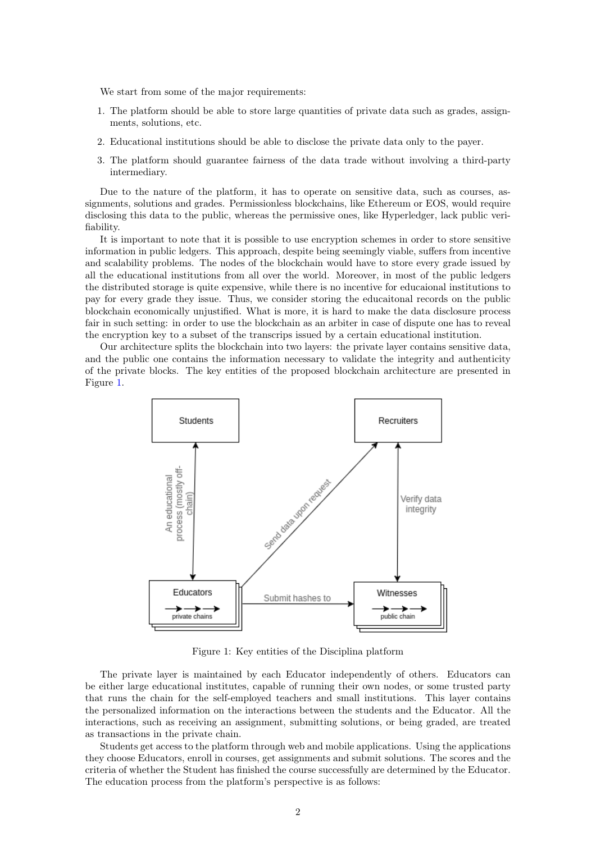We start from some of the major requirements:

- 1. The platform should be able to store large quantities of private data such as grades, assignments, solutions, etc.
- 2. Educational institutions should be able to disclose the private data only to the payer.
- 3. The platform should guarantee fairness of the data trade without involving a third-party intermediary.

Due to the nature of the platform, it has to operate on sensitive data, such as courses, assignments, solutions and grades. Permissionless blockchains, like Ethereum or EOS, would require disclosing this data to the public, whereas the permissive ones, like Hyperledger, lack public verifiability.

It is important to note that it is possible to use encryption schemes in order to store sensitive information in public ledgers. This approach, despite being seemingly viable, suffers from incentive and scalability problems. The nodes of the blockchain would have to store every grade issued by all the educational institutions from all over the world. Moreover, in most of the public ledgers the distributed storage is quite expensive, while there is no incentive for educaional institutions to pay for every grade they issue. Thus, we consider storing the educaitonal records on the public blockchain economically unjustified. What is more, it is hard to make the data disclosure process fair in such setting: in order to use the blockchain as an arbiter in case of dispute one has to reveal the encryption key to a subset of the transcrips issued by a certain educational institution.

Our architecture splits the blockchain into two layers: the private layer contains sensitive data, and the public one contains the information necessary to validate the integrity and authenticity of the private blocks. The key entities of the proposed blockchain architecture are presented in Figure [1.](#page-1-0)



<span id="page-1-0"></span>Figure 1: Key entities of the Disciplina platform

The private layer is maintained by each Educator independently of others. Educators can be either large educational institutes, capable of running their own nodes, or some trusted party that runs the chain for the self-employed teachers and small institutions. This layer contains the personalized information on the interactions between the students and the Educator. All the interactions, such as receiving an assignment, submitting solutions, or being graded, are treated as transactions in the private chain.

Students get access to the platform through web and mobile applications. Using the applications they choose Educators, enroll in courses, get assignments and submit solutions. The scores and the criteria of whether the Student has finished the course successfully are determined by the Educator. The education process from the platform's perspective is as follows: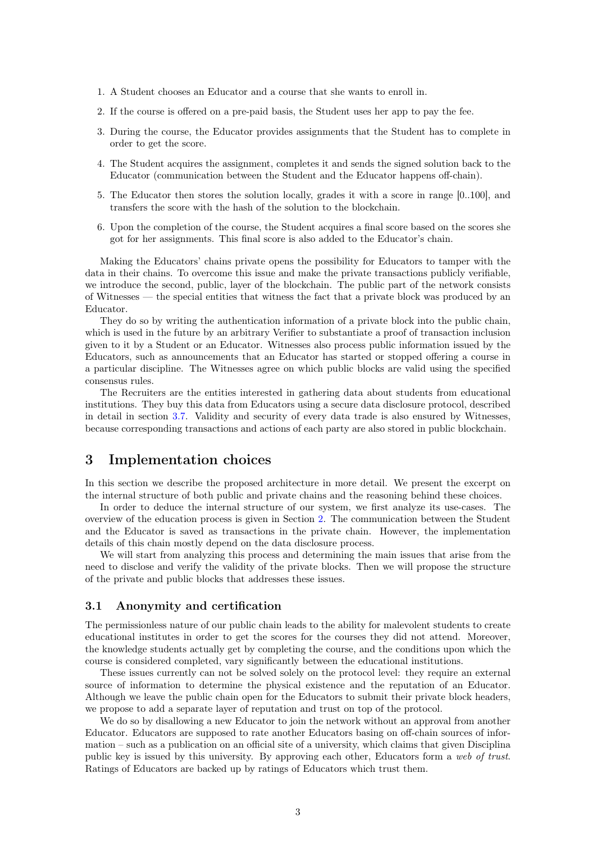- 1. A Student chooses an Educator and a course that she wants to enroll in.
- 2. If the course is offered on a pre-paid basis, the Student uses her app to pay the fee.
- 3. During the course, the Educator provides assignments that the Student has to complete in order to get the score.
- 4. The Student acquires the assignment, completes it and sends the signed solution back to the Educator (communication between the Student and the Educator happens off-chain).
- 5. The Educator then stores the solution locally, grades it with a score in range [0..100], and transfers the score with the hash of the solution to the blockchain.
- 6. Upon the completion of the course, the Student acquires a final score based on the scores she got for her assignments. This final score is also added to the Educator's chain.

Making the Educators' chains private opens the possibility for Educators to tamper with the data in their chains. To overcome this issue and make the private transactions publicly verifiable, we introduce the second, public, layer of the blockchain. The public part of the network consists of Witnesses — the special entities that witness the fact that a private block was produced by an Educator.

They do so by writing the authentication information of a private block into the public chain, which is used in the future by an arbitrary Verifier to substantiate a proof of transaction inclusion given to it by a Student or an Educator. Witnesses also process public information issued by the Educators, such as announcements that an Educator has started or stopped offering a course in a particular discipline. The Witnesses agree on which public blocks are valid using the specified consensus rules.

The Recruiters are the entities interested in gathering data about students from educational institutions. They buy this data from Educators using a secure data disclosure protocol, described in detail in section [3.7.](#page-8-0) Validity and security of every data trade is also ensured by Witnesses, because corresponding transactions and actions of each party are also stored in public blockchain.

## 3 Implementation choices

In this section we describe the proposed architecture in more detail. We present the excerpt on the internal structure of both public and private chains and the reasoning behind these choices.

In order to deduce the internal structure of our system, we first analyze its use-cases. The overview of the education process is given in Section [2.](#page-0-0) The communication between the Student and the Educator is saved as transactions in the private chain. However, the implementation details of this chain mostly depend on the data disclosure process.

We will start from analyzing this process and determining the main issues that arise from the need to disclose and verify the validity of the private blocks. Then we will propose the structure of the private and public blocks that addresses these issues.

### <span id="page-2-0"></span>3.1 Anonymity and certification

The permissionless nature of our public chain leads to the ability for malevolent students to create educational institutes in order to get the scores for the courses they did not attend. Moreover, the knowledge students actually get by completing the course, and the conditions upon which the course is considered completed, vary significantly between the educational institutions.

These issues currently can not be solved solely on the protocol level: they require an external source of information to determine the physical existence and the reputation of an Educator. Although we leave the public chain open for the Educators to submit their private block headers, we propose to add a separate layer of reputation and trust on top of the protocol.

We do so by disallowing a new Educator to join the network without an approval from another Educator. Educators are supposed to rate another Educators basing on off-chain sources of information – such as a publication on an official site of a university, which claims that given Disciplina public key is issued by this university. By approving each other, Educators form a web of trust. Ratings of Educators are backed up by ratings of Educators which trust them.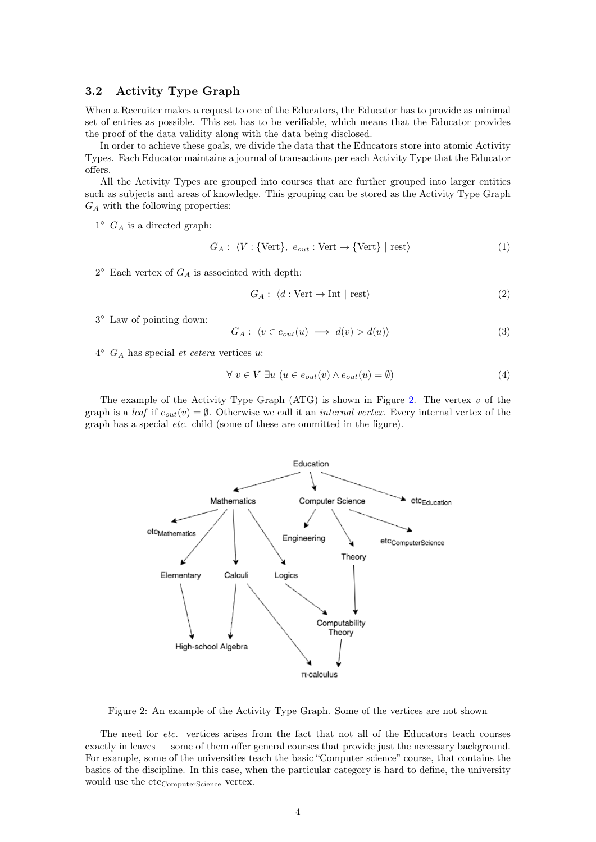## 3.2 Activity Type Graph

When a Recruiter makes a request to one of the Educators, the Educator has to provide as minimal set of entries as possible. This set has to be verifiable, which means that the Educator provides the proof of the data validity along with the data being disclosed.

In order to achieve these goals, we divide the data that the Educators store into atomic Activity Types. Each Educator maintains a journal of transactions per each Activity Type that the Educator offers.

All the Activity Types are grouped into courses that are further grouped into larger entities such as subjects and areas of knowledge. This grouping can be stored as the Activity Type Graph  $G_A$  with the following properties:

 $1^{\circ}$   $G_A$  is a directed graph:

$$
G_A: \langle V : \{Vert\}, e_{out} : \text{Vert} \to \{Vert\} \mid \text{rest}\rangle \tag{1}
$$

 $2^{\circ}$  Each vertex of  $G_A$  is associated with depth:

$$
G_A: \langle d : \text{Vert} \to \text{Int} \mid \text{rest} \rangle \tag{2}
$$

3 ◦ Law of pointing down:

$$
G_A: \langle v \in e_{out}(u) \implies d(v) > d(u) \rangle \tag{3}
$$

 $4^{\circ}$   $G_A$  has special *et cetera* vertices u:

$$
\forall v \in V \exists u \ (u \in e_{out}(v) \land e_{out}(u) = \emptyset)
$$
\n
$$
(4)
$$

The example of the Activity Type Graph  $(ATG)$  is shown in Figure [2.](#page-3-0) The vertex v of the graph is a leaf if  $e_{out}(v) = \emptyset$ . Otherwise we call it an *internal vertex*. Every internal vertex of the graph has a special etc. child (some of these are ommitted in the figure).



<span id="page-3-0"></span>Figure 2: An example of the Activity Type Graph. Some of the vertices are not shown

The need for etc. vertices arises from the fact that not all of the Educators teach courses exactly in leaves — some of them offer general courses that provide just the necessary background. For example, some of the universities teach the basic "Computer science" course, that contains the basics of the discipline. In this case, when the particular category is hard to define, the university would use the etc<sub>ComputerScience</sub> vertex.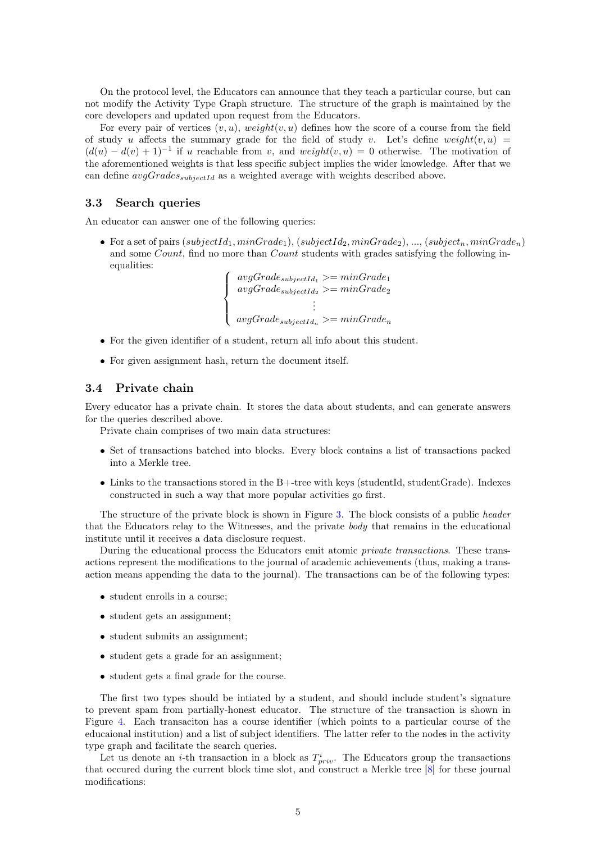On the protocol level, the Educators can announce that they teach a particular course, but can not modify the Activity Type Graph structure. The structure of the graph is maintained by the core developers and updated upon request from the Educators.

For every pair of vertices  $(v, u)$ , weight $(v, u)$  defines how the score of a course from the field of study u affects the summary grade for the field of study v. Let's define weight $(v, u)$  =  $(d(u) - d(v) + 1)^{-1}$  if u reachable from v, and weight $(v, u) = 0$  otherwise. The motivation of the aforementioned weights is that less specific subject implies the wider knowledge. After that we can define  $avgGrades_{subjectId}$  as a weighted average with weights described above.

### <span id="page-4-0"></span>3.3 Search queries

An educator can answer one of the following queries:

• For a set of pairs  $(subjectId_1, minGrade_1), (subjectId_2, minGrade_2), ..., (subject_n, minGrade_n)$ and some Count, find no more than Count students with grades satisfying the following inequalities:

 $\sqrt{ }$  $\int$  $\overline{\mathcal{L}}$  $avgGrade_{subjectId_1} >= minGrade_1$  $avgGrade_{subjectId_2} \geq minGrade_2$ . . .  $avgGrade_{subjectId_n} >= minGrade_n$ 

- For the given identifier of a student, return all info about this student.
- For given assignment hash, return the document itself.

### <span id="page-4-1"></span>3.4 Private chain

Every educator has a private chain. It stores the data about students, and can generate answers for the queries described above.

Private chain comprises of two main data structures:

- Set of transactions batched into blocks. Every block contains a list of transactions packed into a Merkle tree.
- Links to the transactions stored in the  $B$ +-tree with keys (studentId, studentGrade). Indexes constructed in such a way that more popular activities go first.

The structure of the private block is shown in Figure [3.](#page-5-0) The block consists of a public header that the Educators relay to the Witnesses, and the private body that remains in the educational institute until it receives a data disclosure request.

During the educational process the Educators emit atomic private transactions. These transactions represent the modifications to the journal of academic achievements (thus, making a transaction means appending the data to the journal). The transactions can be of the following types:

- student enrolls in a course;
- student gets an assignment;
- student submits an assignment;
- student gets a grade for an assignment;
- student gets a final grade for the course.

The first two types should be intiated by a student, and should include student's signature to prevent spam from partially-honest educator. The structure of the transaction is shown in Figure [4.](#page-5-1) Each transaciton has a course identifier (which points to a particular course of the educaional institution) and a list of subject identifiers. The latter refer to the nodes in the activity type graph and facilitate the search queries.

Let us denote an *i*-th transaction in a block as  $T_{priv}^i$ . The Educators group the transactions that occured during the current block time slot, and construct a Merkle tree [\[8\]](#page-11-8) for these journal modifications: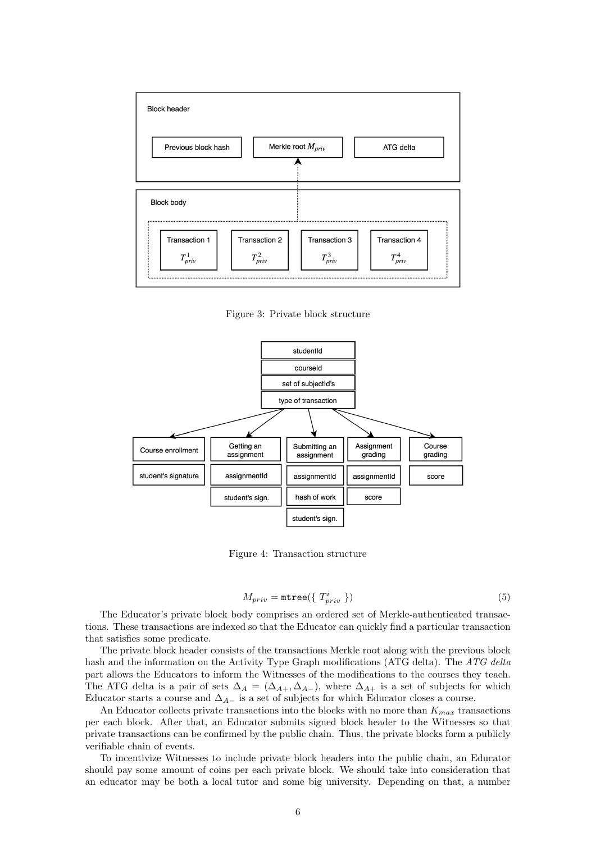

<span id="page-5-0"></span>Figure 3: Private block structure



<span id="page-5-1"></span>Figure 4: Transaction structure

$$
M_{priv} = \text{mtree}(\{ T_{priv}^{i} \})
$$
\n(5)

The Educator's private block body comprises an ordered set of Merkle-authenticated transactions. These transactions are indexed so that the Educator can quickly find a particular transaction that satisfies some predicate.

The private block header consists of the transactions Merkle root along with the previous block hash and the information on the Activity Type Graph modifications (ATG delta). The ATG delta part allows the Educators to inform the Witnesses of the modifications to the courses they teach. The ATG delta is a pair of sets  $\Delta_A = (\Delta_{A+}, \Delta_{A-})$ , where  $\Delta_{A+}$  is a set of subjects for which Educator starts a course and  $\Delta_{A-}$  is a set of subjects for which Educator closes a course.

An Educator collects private transactions into the blocks with no more than  $K_{max}$  transactions per each block. After that, an Educator submits signed block header to the Witnesses so that private transactions can be confirmed by the public chain. Thus, the private blocks form a publicly verifiable chain of events.

To incentivize Witnesses to include private block headers into the public chain, an Educator should pay some amount of coins per each private block. We should take into consideration that an educator may be both a local tutor and some big university. Depending on that, a number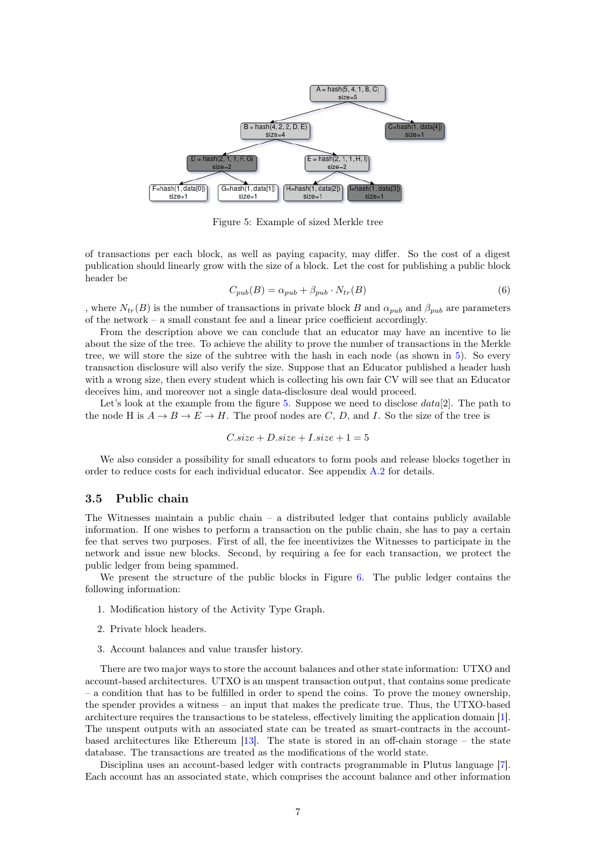

<span id="page-6-0"></span>Figure 5: Example of sized Merkle tree

of transactions per each block, as well as paying capacity, may differ. So the cost of a digest publication should linearly grow with the size of a block. Let the cost for publishing a public block header be

<span id="page-6-1"></span>
$$
C_{pub}(B) = \alpha_{pub} + \beta_{pub} \cdot N_{tr}(B)
$$
\n<sup>(6)</sup>

, where  $N_{tr}(B)$  is the number of transactions in private block B and  $\alpha_{pub}$  and  $\beta_{pub}$  are parameters of the network – a small constant fee and a linear price coefficient accordingly.

From the description above we can conclude that an educator may have an incentive to lie about the size of the tree. To achieve the ability to prove the number of transactions in the Merkle tree, we will store the size of the subtree with the hash in each node (as shown in [5\)](#page-6-0). So every transaction disclosure will also verify the size. Suppose that an Educator published a header hash with a wrong size, then every student which is collecting his own fair CV will see that an Educator deceives him, and moreover not a single data-disclosure deal would proceed.

Let's look at the example from the figure [5.](#page-6-0) Suppose we need to disclose  $data[2]$ . The path to the node H is  $A \to B \to E \to H$ . The proof nodes are C, D, and I. So the size of the tree is

$$
C.size + D.size + I.size + 1 = 5
$$

We also consider a possibility for small educators to form pools and release blocks together in order to reduce costs for each individual educator. See appendix [A.2](#page-12-0) for details.

#### 3.5 Public chain

The Witnesses maintain a public chain  $-$  a distributed ledger that contains publicly available information. If one wishes to perform a transaction on the public chain, she has to pay a certain fee that serves two purposes. First of all, the fee incentivizes the Witnesses to participate in the network and issue new blocks. Second, by requiring a fee for each transaction, we protect the public ledger from being spammed.

We present the structure of the public blocks in Figure [6.](#page-7-0) The public ledger contains the following information:

- 1. Modification history of the Activity Type Graph.
- 2. Private block headers.
- 3. Account balances and value transfer history.

There are two major ways to store the account balances and other state information: UTXO and account-based architectures. UTXO is an unspent transaction output, that contains some predicate – a condition that has to be fulfilled in order to spend the coins. To prove the money ownership, the spender provides a witness – an input that makes the predicate true. Thus, the UTXO-based architecture requires the transactions to be stateless, effectively limiting the application domain [\[1\]](#page-11-9). The unspent outputs with an associated state can be treated as smart-contracts in the accountbased architectures like Ethereum  $[13]$ . The state is stored in an off-chain storage – the state database. The transactions are treated as the modifications of the world state.

Disciplina uses an account-based ledger with contracts programmable in Plutus language [\[7\]](#page-11-10). Each account has an associated state, which comprises the account balance and other information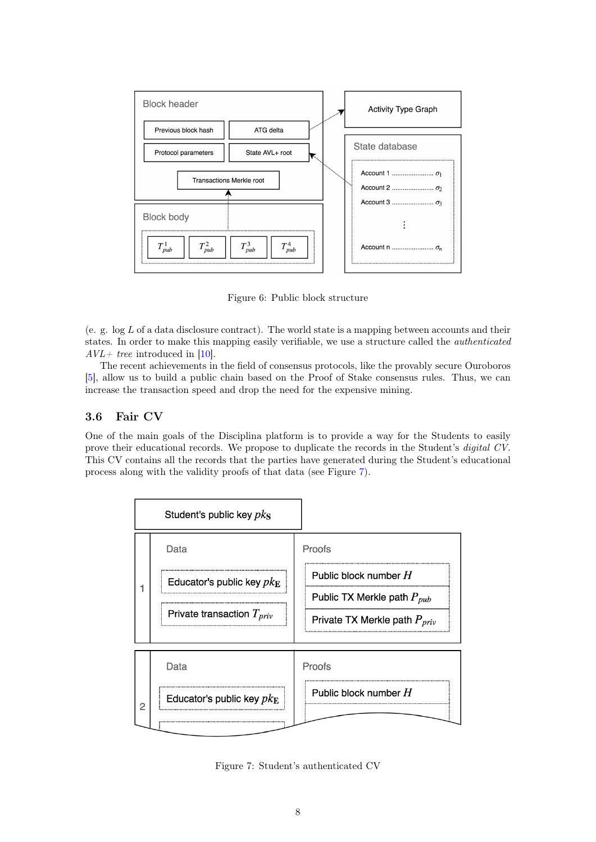

<span id="page-7-0"></span>Figure 6: Public block structure

(e. g.  $\log L$  of a data disclosure contract). The world state is a mapping between accounts and their states. In order to make this mapping easily verifiable, we use a structure called the authenticated  $AVL+$  tree introduced in [\[10\]](#page-11-11).

The recent achievements in the field of consensus protocols, like the provably secure Ouroboros [\[5\]](#page-11-12), allow us to build a public chain based on the Proof of Stake consensus rules. Thus, we can increase the transaction speed and drop the need for the expensive mining.

### <span id="page-7-2"></span>3.6 Fair CV

One of the main goals of the Disciplina platform is to provide a way for the Students to easily prove their educational records. We propose to duplicate the records in the Student's *digital CV*. This CV contains all the records that the parties have generated during the Student's educational process along with the validity proofs of that data (see Figure [7\)](#page-7-1).



<span id="page-7-1"></span>Figure 7: Student's authenticated CV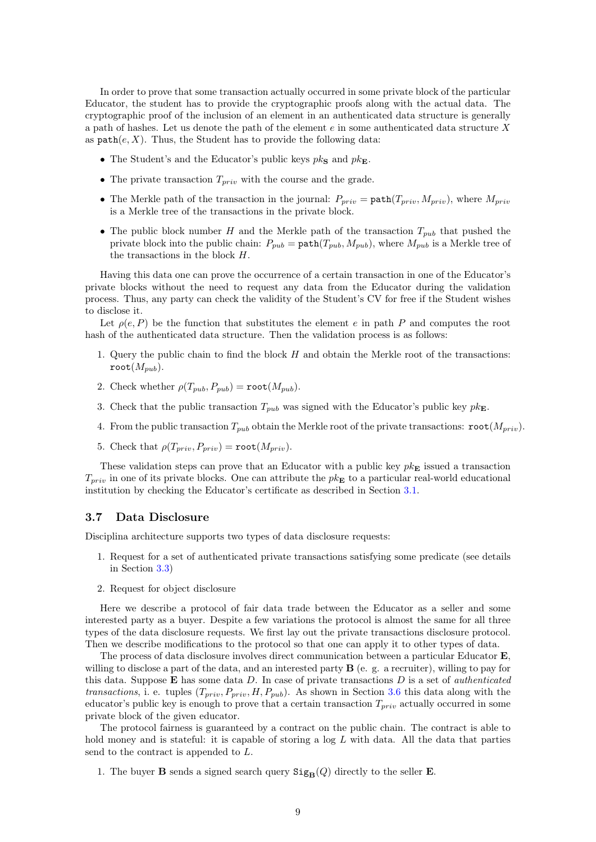In order to prove that some transaction actually occurred in some private block of the particular Educator, the student has to provide the cryptographic proofs along with the actual data. The cryptographic proof of the inclusion of an element in an authenticated data structure is generally a path of hashes. Let us denote the path of the element  $e$  in some authenticated data structure X as  $path(e, X)$ . Thus, the Student has to provide the following data:

- The Student's and the Educator's public keys  $pk_S$  and  $pk_E$ .
- The private transaction  $T_{priv}$  with the course and the grade.
- The Merkle path of the transaction in the journal:  $P_{priv} = \text{path}(T_{priv}, M_{priv})$ , where  $M_{priv}$ is a Merkle tree of the transactions in the private block.
- The public block number H and the Merkle path of the transaction  $T_{pub}$  that pushed the private block into the public chain:  $P_{pub} = \text{path}(T_{pub}, M_{pub})$ , where  $M_{pub}$  is a Merkle tree of the transactions in the block H.

Having this data one can prove the occurrence of a certain transaction in one of the Educator's private blocks without the need to request any data from the Educator during the validation process. Thus, any party can check the validity of the Student's CV for free if the Student wishes to disclose it.

Let  $\rho(e, P)$  be the function that substitutes the element e in path P and computes the root hash of the authenticated data structure. Then the validation process is as follows:

- 1. Query the public chain to find the block  $H$  and obtain the Merkle root of the transactions: root $(M_{muh})$ .
- 2. Check whether  $\rho(T_{pub}, P_{pub}) = \text{root}(M_{pub}).$
- 3. Check that the public transaction  $T_{pub}$  was signed with the Educator's public key  $pk_{\mathbf{E}}$ .
- 4. From the public transaction  $T_{pub}$  obtain the Merkle root of the private transactions:  $\text{root}(M_{priv})$ .
- 5. Check that  $\rho(T_{priv}, P_{priv}) = \text{root}(M_{priv}).$

These validation steps can prove that an Educator with a public key  $pk_{\mathbf{E}}$  issued a transaction  $T_{priv}$  in one of its private blocks. One can attribute the  $pk_{\mathbf{E}}$  to a particular real-world educational institution by checking the Educator's certificate as described in Section [3.1.](#page-2-0)

### <span id="page-8-0"></span>3.7 Data Disclosure

Disciplina architecture supports two types of data disclosure requests:

- 1. Request for a set of authenticated private transactions satisfying some predicate (see details in Section [3.3\)](#page-4-0)
- 2. Request for object disclosure

Here we describe a protocol of fair data trade between the Educator as a seller and some interested party as a buyer. Despite a few variations the protocol is almost the same for all three types of the data disclosure requests. We first lay out the private transactions disclosure protocol. Then we describe modifications to the protocol so that one can apply it to other types of data.

The process of data disclosure involves direct communication between a particular Educator E willing to disclose a part of the data, and an interested party  $\bf{B}$  (e. g. a recruiter), willing to pay for this data. Suppose  $E$  has some data  $D$ . In case of private transactions  $D$  is a set of *authenticated* transactions, i. e. tuples  $(T_{priv}, P_{priv}, H, P_{pub})$ . As shown in Section [3.6](#page-7-2) this data along with the educator's public key is enough to prove that a certain transaction  $T_{priv}$  actually occurred in some private block of the given educator.

The protocol fairness is guaranteed by a contract on the public chain. The contract is able to hold money and is stateful: it is capable of storing a  $log L$  with data. All the data that parties send to the contract is appended to L.

1. The buyer **B** sends a signed search query  $\text{Sig}_{\text{B}}(Q)$  directly to the seller **E**.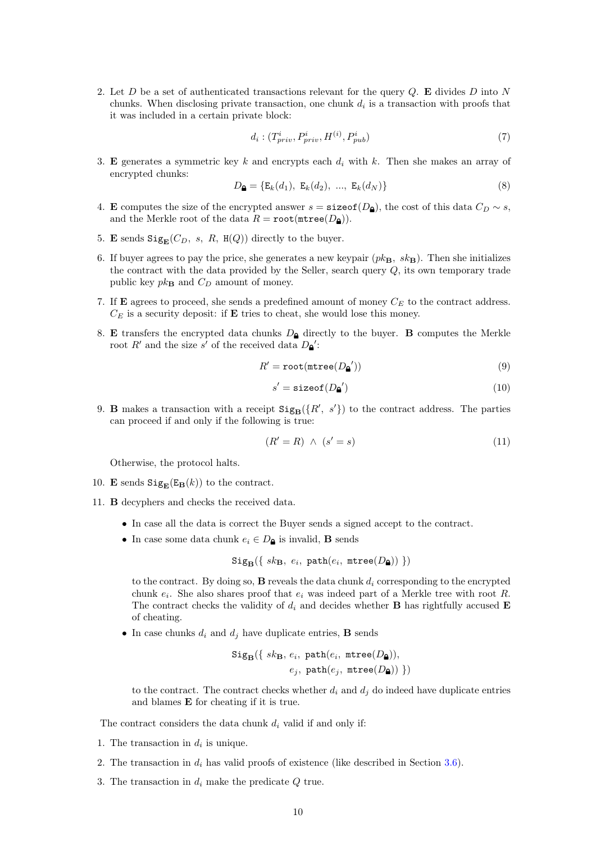2. Let  $D$  be a set of authenticated transactions relevant for the query  $Q$ . E divides  $D$  into  $N$ chunks. When disclosing private transaction, one chunk  $d_i$  is a transaction with proofs that it was included in a certain private block:

$$
d_i: (T_{priv}^i, P_{priv}^i, H^{(i)}, P_{pub}^i)
$$
\n
$$
\tag{7}
$$

3. E generates a symmetric key k and encrypts each  $d_i$  with k. Then she makes an array of encrypted chunks:

$$
D_{\mathbf{a}} = \{ \mathbf{E}_k(d_1), \ \mathbf{E}_k(d_2), \ \dots, \ \mathbf{E}_k(d_N) \}
$$
 (8)

- 4. E computes the size of the encrypted answer  $s = \texttt{sizeof}(D_{\text{A}})$ , the cost of this data  $C_D \sim s$ , and the Merkle root of the data  $R = \text{root}(\text{mtree}(D_{\mathbf{a}})).$
- 5. E sends  $\text{Sig}_{\mathbf{E}}(C_D, s, R, \mathbf{H}(Q))$  directly to the buyer.
- 6. If buyer agrees to pay the price, she generates a new keypair  $(pk_{\rm B}, s k_{\rm B})$ . Then she initializes the contract with the data provided by the Seller, search query Q, its own temporary trade public key  $pk_{\mathbf{B}}$  and  $C_D$  amount of money.
- <span id="page-9-0"></span>7. If **E** agrees to proceed, she sends a predefined amount of money  $C_E$  to the contract address.  $C_E$  is a security deposit: if **E** tries to cheat, she would lose this money.
- 8. E transfers the encrypted data chunks  $D_{\mathbf{a}}$  directly to the buyer. B computes the Merkle root R' and the size s' of the received data  $D_{\mathbf{Q}}$ ':

$$
R' = \text{root}(\text{mtree}(D_{\mathbf{a}}'))\tag{9}
$$

$$
s' = \text{sizeof}(D_{\mathbf{a}}') \tag{10}
$$

<span id="page-9-1"></span>9. **B** makes a transaction with a receipt  $\text{Sig}_{\text{B}}(\lbrace R', s' \rbrace)$  to the contract address. The parties can proceed if and only if the following is true:

$$
(R'=R)\ \wedge\ (s'=s)\tag{11}
$$

Otherwise, the protocol halts.

- <span id="page-9-2"></span>10. **E** sends  $\text{Sig}_{\mathbf{E}}(\mathbf{E}_{\mathbf{B}}(k))$  to the contract.
- <span id="page-9-3"></span>11. B decyphers and checks the received data.
	- In case all the data is correct the Buyer sends a signed accept to the contract.
	- In case some data chunk  $e_i \in D_{\mathbf{\Delta}}$  is invalid, **B** sends

$$
\mathtt{Sig}_{\mathbf{B}}(\{ \; sk_{\mathbf{B}}, \; e_i, \; \mathtt{path}(e_i, \; \mathtt{mtree}(D_{\pmb{\Delta}})) \; \})
$$

to the contract. By doing so,  $\bf{B}$  reveals the data chunk  $d_i$  corresponding to the encrypted chunk  $e_i$ . She also shares proof that  $e_i$  was indeed part of a Merkle tree with root R. The contract checks the validity of  $d_i$  and decides whether **B** has rightfully accused **E** of cheating.

• In case chunks  $d_i$  and  $d_j$  have duplicate entries, **B** sends

$$
\texttt{Sig}_{\textbf{B}}(\{ \text{ sk}_{\textbf{B}}, \text{ } e_i, \text{ path}(e_i, \text{ mtree}(D_{\textbf{A}})), \\ \text{ } e_j, \text{ path}(e_j, \text{ mtree}(D_{\textbf{A}})) \ \})
$$

to the contract. The contract checks whether  $d_i$  and  $d_j$  do indeed have duplicate entries and blames E for cheating if it is true.

The contract considers the data chunk  $d_i$  valid if and only if:

- 1. The transaction in  $d_i$  is unique.
- 2. The transaction in  $d_i$  has valid proofs of existence (like described in Section [3.6\)](#page-7-2).
- 3. The transaction in  $d_i$  make the predicate  $Q$  true.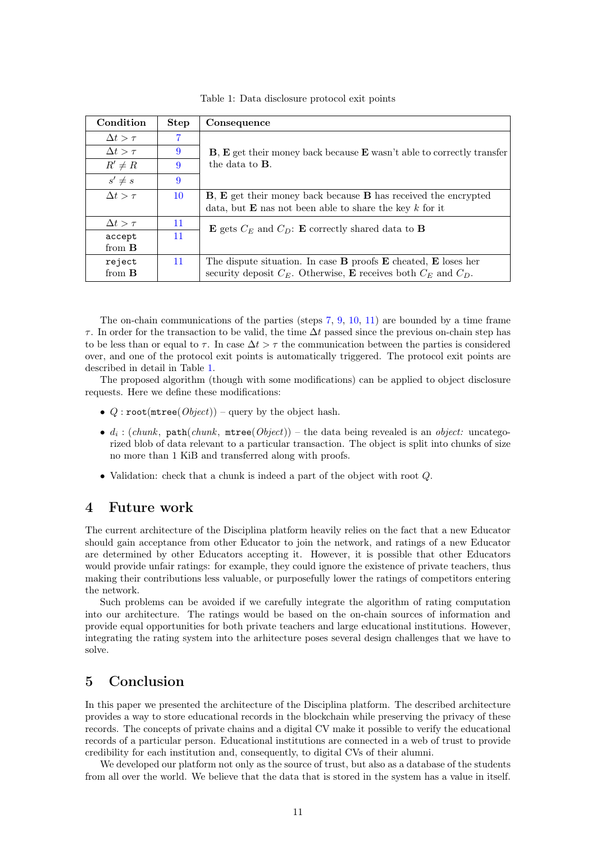| Condition         | <b>Step</b> | Consequence                                                                              |
|-------------------|-------------|------------------------------------------------------------------------------------------|
| $\Delta t > \tau$ | 7           |                                                                                          |
| $\Delta t > \tau$ | 9           | $\bf{B}, \bf{E}$ get their money back because $\bf{E}$ wasn't able to correctly transfer |
| $R' \neq R$       | 9           | the data to $\bf{B}$ .                                                                   |
| $s' \neq s$       | 9           |                                                                                          |
| $\Delta t > \tau$ | 10          | <b>B</b> , <b>E</b> get their money back because <b>B</b> has received the encrypted     |
|                   |             | data, but $E$ nas not been able to share the key $k$ for it                              |
| $\Delta t > \tau$ | 11          | <b>E</b> gets $C_E$ and $C_D$ : <b>E</b> correctly shared data to <b>B</b>               |
| accept            | 11          |                                                                                          |
| from $\bf{B}$     |             |                                                                                          |
| reject            | 11          | The dispute situation. In case $\bf{B}$ proofs $\bf{E}$ cheated, $\bf{E}$ loses her      |
| from $\bf{B}$     |             | security deposit $C_F$ . Otherwise, <b>E</b> receives both $C_F$ and $C_D$ .             |

<span id="page-10-0"></span>Table 1: Data disclosure protocol exit points

The on-chain communications of the parties (steps [7,](#page-9-0) [9,](#page-9-1) [10,](#page-9-2) [11\)](#page-9-3) are bounded by a time frame  $\tau$ . In order for the transaction to be valid, the time  $\Delta t$  passed since the previous on-chain step has to be less than or equal to  $\tau$ . In case  $\Delta t > \tau$  the communication between the parties is considered over, and one of the protocol exit points is automatically triggered. The protocol exit points are described in detail in Table [1.](#page-10-0)

The proposed algorithm (though with some modifications) can be applied to object disclosure requests. Here we define these modifications:

- Q: root( $\text{mtree}(Object)$ ) query by the object hash.
- $d_i$ : (chunk, path(chunk, mtree(Object)) the data being revealed is an object: uncategorized blob of data relevant to a particular transaction. The object is split into chunks of size no more than 1 KiB and transferred along with proofs.
- Validation: check that a chunk is indeed a part of the object with root Q.

## 4 Future work

The current architecture of the Disciplina platform heavily relies on the fact that a new Educator should gain acceptance from other Educator to join the network, and ratings of a new Educator are determined by other Educators accepting it. However, it is possible that other Educators would provide unfair ratings: for example, they could ignore the existence of private teachers, thus making their contributions less valuable, or purposefully lower the ratings of competitors entering the network.

Such problems can be avoided if we carefully integrate the algorithm of rating computation into our architecture. The ratings would be based on the on-chain sources of information and provide equal opportunities for both private teachers and large educational institutions. However, integrating the rating system into the arhitecture poses several design challenges that we have to solve.

## 5 Conclusion

In this paper we presented the architecture of the Disciplina platform. The described architecture provides a way to store educational records in the blockchain while preserving the privacy of these records. The concepts of private chains and a digital CV make it possible to verify the educational records of a particular person. Educational institutions are connected in a web of trust to provide credibility for each institution and, consequently, to digital CVs of their alumni.

We developed our platform not only as the source of trust, but also as a database of the students from all over the world. We believe that the data that is stored in the system has a value in itself.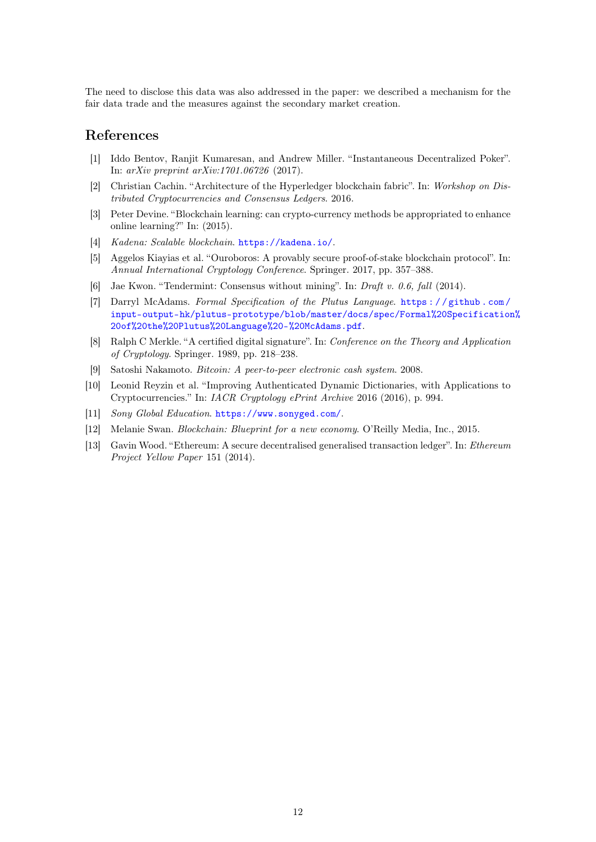The need to disclose this data was also addressed in the paper: we described a mechanism for the fair data trade and the measures against the secondary market creation.

## References

- <span id="page-11-9"></span>[1] Iddo Bentov, Ranjit Kumaresan, and Andrew Miller. "Instantaneous Decentralized Poker". In: arXiv preprint arXiv:1701.06726 (2017).
- <span id="page-11-3"></span>[2] Christian Cachin. "Architecture of the Hyperledger blockchain fabric". In: Workshop on Distributed Cryptocurrencies and Consensus Ledgers. 2016.
- <span id="page-11-6"></span>[3] Peter Devine. "Blockchain learning: can crypto-currency methods be appropriated to enhance online learning?" In: (2015).
- <span id="page-11-4"></span>[4] Kadena: Scalable blockchain. <https://kadena.io/>.
- <span id="page-11-12"></span>[5] Aggelos Kiayias et al. "Ouroboros: A provably secure proof-of-stake blockchain protocol". In: Annual International Cryptology Conference. Springer. 2017, pp. 357–388.
- <span id="page-11-2"></span>[6] Jae Kwon. "Tendermint: Consensus without mining". In: Draft v. 0.6, fall (2014).
- <span id="page-11-10"></span>[7] Darryl McAdams. Formal Specification of the Plutus Language. [https : / / github . com /](https://github.com/input-output-hk/plutus-prototype/blob/master/docs/spec/Formal%20Specification%20of%20the%20Plutus%20Language%20-%20McAdams.pdf) [input-output-hk/plutus-prototype/blob/master/docs/spec/Formal%20Specification](https://github.com/input-output-hk/plutus-prototype/blob/master/docs/spec/Formal%20Specification%20of%20the%20Plutus%20Language%20-%20McAdams.pdf)% [20of%20the%20Plutus%20Language%20-%20McAdams.pdf](https://github.com/input-output-hk/plutus-prototype/blob/master/docs/spec/Formal%20Specification%20of%20the%20Plutus%20Language%20-%20McAdams.pdf).
- <span id="page-11-8"></span>[8] Ralph C Merkle. "A certified digital signature". In: Conference on the Theory and Application of Cryptology. Springer. 1989, pp. 218–238.
- <span id="page-11-0"></span>[9] Satoshi Nakamoto. Bitcoin: A peer-to-peer electronic cash system. 2008.
- <span id="page-11-11"></span>[10] Leonid Reyzin et al. "Improving Authenticated Dynamic Dictionaries, with Applications to Cryptocurrencies." In: IACR Cryptology ePrint Archive 2016 (2016), p. 994.
- <span id="page-11-7"></span>[11] Sony Global Education. <https://www.sonyged.com/>.
- <span id="page-11-5"></span>[12] Melanie Swan. Blockchain: Blueprint for a new economy. O'Reilly Media, Inc., 2015.
- <span id="page-11-1"></span>[13] Gavin Wood. "Ethereum: A secure decentralised generalised transaction ledger". In: Ethereum Project Yellow Paper 151 (2014).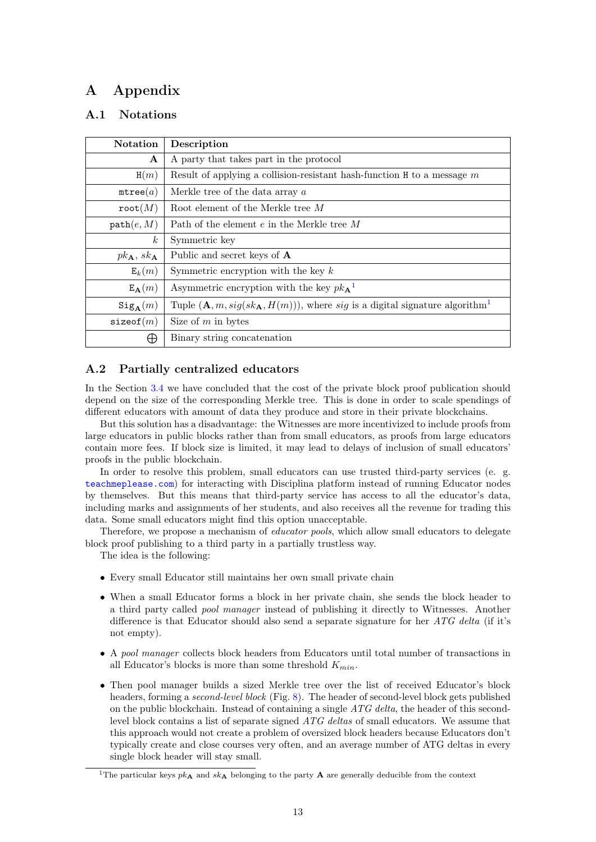## A Appendix

## A.1 Notations

<span id="page-12-1"></span>

| <b>Notation</b>                      | Description                                                                                |  |
|--------------------------------------|--------------------------------------------------------------------------------------------|--|
| $\mathbf{A}$                         | A party that takes part in the protocol                                                    |  |
| H(m)                                 | Result of applying a collision-resistant hash-function $H$ to a message $m$                |  |
| mtree(a)                             | Merkle tree of the data array $a$                                                          |  |
| $\texttt{root}(M)$                   | Root element of the Merkle tree M                                                          |  |
| path(e, M)                           | Path of the element $e$ in the Merkle tree $M$                                             |  |
| $\boldsymbol{k}$                     | Symmetric key                                                                              |  |
| $pk_{\mathbf{A}}, sk_{\mathbf{A}}$   | Public and secret keys of <b>A</b>                                                         |  |
| $E_k(m)$                             | Symmetric encryption with the key $k$                                                      |  |
| $E_{\mathbf{A}}(m)$                  | Asymmetric encryption with the key $pk_{\mathbf{A}}^{\mathbf{1}}$                          |  |
| $\operatorname{Sig}_{\mathbf{A}}(m)$ | Tuple $(A, m, sig(sk_{A}, H(m))$ , where sig is a digital signature algorithm <sup>1</sup> |  |
| sizeof(m)                            | Size of $m$ in bytes                                                                       |  |
| ₩                                    | Binary string concatenation                                                                |  |

## <span id="page-12-0"></span>A.2 Partially centralized educators

In the Section [3.4](#page-4-1) we have concluded that the cost of the private block proof publication should depend on the size of the corresponding Merkle tree. This is done in order to scale spendings of different educators with amount of data they produce and store in their private blockchains.

But this solution has a disadvantage: the Witnesses are more incentivized to include proofs from large educators in public blocks rather than from small educators, as proofs from large educators contain more fees. If block size is limited, it may lead to delays of inclusion of small educators' proofs in the public blockchain.

In order to resolve this problem, small educators can use trusted third-party services (e. g. <teachmeplease.com>) for interacting with Disciplina platform instead of running Educator nodes by themselves. But this means that third-party service has access to all the educator's data, including marks and assignments of her students, and also receives all the revenue for trading this data. Some small educators might find this option unacceptable.

Therefore, we propose a mechanism of *educator pools*, which allow small educators to delegate block proof publishing to a third party in a partially trustless way.

The idea is the following:

- Every small Educator still maintains her own small private chain
- When a small Educator forms a block in her private chain, she sends the block header to a third party called pool manager instead of publishing it directly to Witnesses. Another difference is that Educator should also send a separate signature for her  $ATG$  delta (if it's not empty).
- A pool manager collects block headers from Educators until total number of transactions in all Educator's blocks is more than some threshold  $K_{min}$ .
- Then pool manager builds a sized Merkle tree over the list of received Educator's block headers, forming a second-level block (Fig. [8\)](#page-13-0). The header of second-level block gets published on the public blockchain. Instead of containing a single  $ATG$  delta, the header of this secondlevel block contains a list of separate signed ATG deltas of small educators. We assume that this approach would not create a problem of oversized block headers because Educators don't typically create and close courses very often, and an average number of ATG deltas in every single block header will stay small.

<sup>&</sup>lt;sup>1</sup>The particular keys  $pk_{\mathbf{A}}$  and  $sk_{\mathbf{A}}$  belonging to the party **A** are generally deducible from the context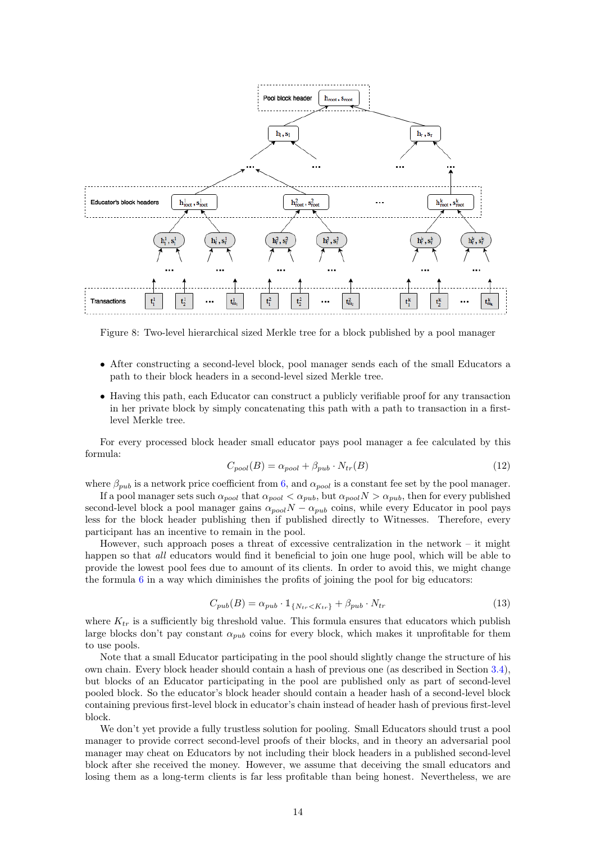

<span id="page-13-0"></span>Figure 8: Two-level hierarchical sized Merkle tree for a block published by a pool manager

- After constructing a second-level block, pool manager sends each of the small Educators a path to their block headers in a second-level sized Merkle tree.
- Having this path, each Educator can construct a publicly verifiable proof for any transaction in her private block by simply concatenating this path with a path to transaction in a firstlevel Merkle tree.

For every processed block header small educator pays pool manager a fee calculated by this formula:

$$
C_{pool}(B) = \alpha_{pool} + \beta_{pub} \cdot N_{tr}(B)
$$
\n(12)

where  $\beta_{pub}$  is a network price coefficient from [6,](#page-6-1) and  $\alpha_{pool}$  is a constant fee set by the pool manager.

If a pool manager sets such  $\alpha_{pool}$  that  $\alpha_{pool} < \alpha_{pub}$ , but  $\alpha_{pool} N > \alpha_{pub}$ , then for every published second-level block a pool manager gains  $\alpha_{pool}N - \alpha_{pub}$  coins, while every Educator in pool pays less for the block header publishing then if published directly to Witnesses. Therefore, every participant has an incentive to remain in the pool.

However, such approach poses a threat of excessive centralization in the network – it might happen so that all educators would find it beneficial to join one huge pool, which will be able to provide the lowest pool fees due to amount of its clients. In order to avoid this, we might change the formula  $6$  in a way which diminishes the profits of joining the pool for big educators:

$$
C_{pub}(B) = \alpha_{pub} \cdot \mathbb{1}_{\{N_{tr} < K_{tr}\}} + \beta_{pub} \cdot N_{tr} \tag{13}
$$

where  $K_{tr}$  is a sufficiently big threshold value. This formula ensures that educators which publish large blocks don't pay constant  $\alpha_{pub}$  coins for every block, which makes it unprofitable for them to use pools.

Note that a small Educator participating in the pool should slightly change the structure of his own chain. Every block header should contain a hash of previous one (as described in Section [3.4\)](#page-4-1), but blocks of an Educator participating in the pool are published only as part of second-level pooled block. So the educator's block header should contain a header hash of a second-level block containing previous first-level block in educator's chain instead of header hash of previous first-level block.

We don't yet provide a fully trustless solution for pooling. Small Educators should trust a pool manager to provide correct second-level proofs of their blocks, and in theory an adversarial pool manager may cheat on Educators by not including their block headers in a published second-level block after she received the money. However, we assume that deceiving the small educators and losing them as a long-term clients is far less profitable than being honest. Nevertheless, we are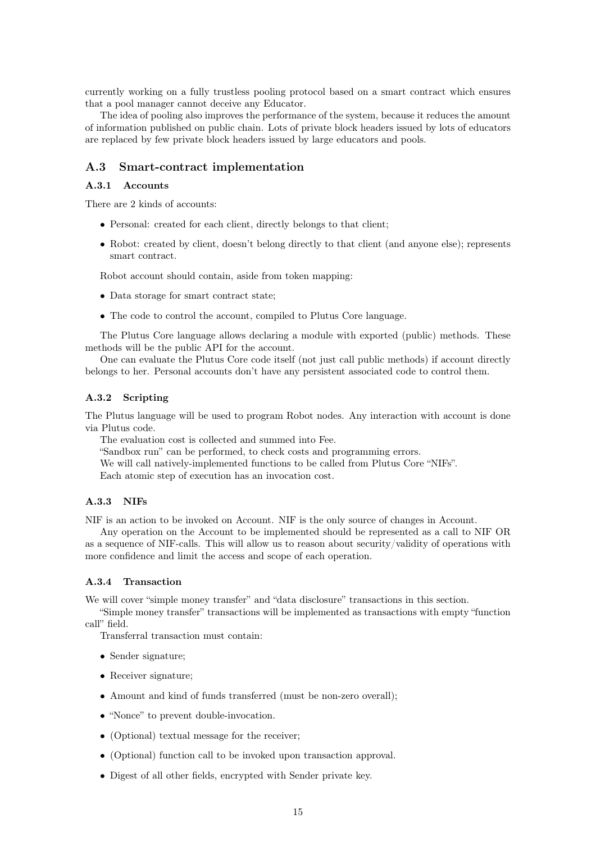currently working on a fully trustless pooling protocol based on a smart contract which ensures that a pool manager cannot deceive any Educator.

The idea of pooling also improves the performance of the system, because it reduces the amount of information published on public chain. Lots of private block headers issued by lots of educators are replaced by few private block headers issued by large educators and pools.

### A.3 Smart-contract implementation

### A.3.1 Accounts

There are 2 kinds of accounts:

- Personal: created for each client, directly belongs to that client;
- Robot: created by client, doesn't belong directly to that client (and anyone else); represents smart contract.

Robot account should contain, aside from token mapping:

- Data storage for smart contract state;
- The code to control the account, compiled to Plutus Core language.

The Plutus Core language allows declaring a module with exported (public) methods. These methods will be the public API for the account.

One can evaluate the Plutus Core code itself (not just call public methods) if account directly belongs to her. Personal accounts don't have any persistent associated code to control them.

### A.3.2 Scripting

The Plutus language will be used to program Robot nodes. Any interaction with account is done via Plutus code.

The evaluation cost is collected and summed into Fee.

"Sandbox run" can be performed, to check costs and programming errors.

We will call natively-implemented functions to be called from Plutus Core "NIFs".

Each atomic step of execution has an invocation cost.

### A.3.3 NIFs

NIF is an action to be invoked on Account. NIF is the only source of changes in Account.

Any operation on the Account to be implemented should be represented as a call to NIF OR as a sequence of NIF-calls. This will allow us to reason about security/validity of operations with more confidence and limit the access and scope of each operation.

#### A.3.4 Transaction

We will cover "simple money transfer" and "data disclosure" transactions in this section.

"Simple money transfer" transactions will be implemented as transactions with empty "function call" field.

Transferral transaction must contain:

- Sender signature;
- Receiver signature;
- Amount and kind of funds transferred (must be non-zero overall);
- "Nonce" to prevent double-invocation.
- (Optional) textual message for the receiver;
- (Optional) function call to be invoked upon transaction approval.
- Digest of all other fields, encrypted with Sender private key.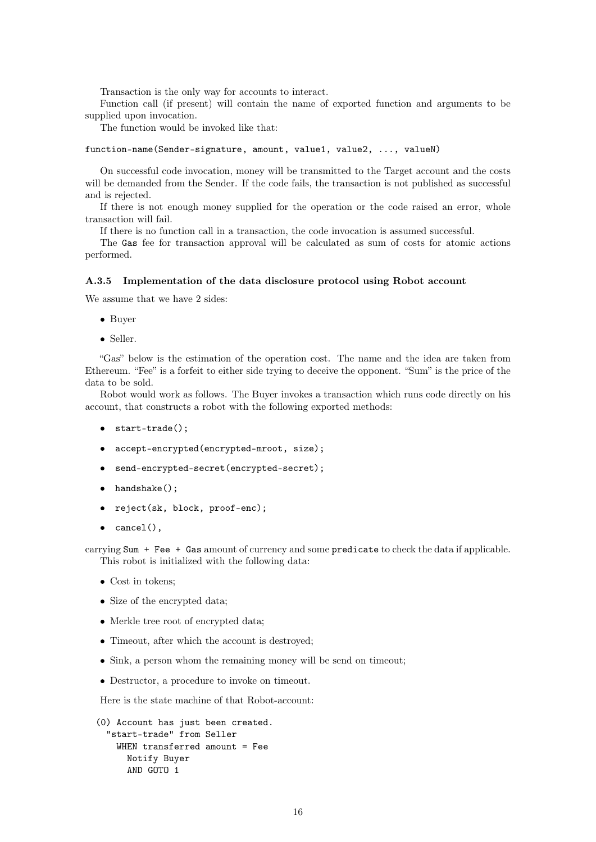Transaction is the only way for accounts to interact.

Function call (if present) will contain the name of exported function and arguments to be supplied upon invocation.

The function would be invoked like that:

function-name(Sender-signature, amount, value1, value2, ..., valueN)

On successful code invocation, money will be transmitted to the Target account and the costs will be demanded from the Sender. If the code fails, the transaction is not published as successful and is rejected.

If there is not enough money supplied for the operation or the code raised an error, whole transaction will fail.

If there is no function call in a transaction, the code invocation is assumed successful.

The Gas fee for transaction approval will be calculated as sum of costs for atomic actions performed.

### A.3.5 Implementation of the data disclosure protocol using Robot account

We assume that we have 2 sides:

- Buyer
- Seller.

"Gas" below is the estimation of the operation cost. The name and the idea are taken from Ethereum. "Fee" is a forfeit to either side trying to deceive the opponent. "Sum" is the price of the data to be sold.

Robot would work as follows. The Buyer invokes a transaction which runs code directly on his account, that constructs a robot with the following exported methods:

- start-trade();
- accept-encrypted(encrypted-mroot, size);
- send-encrypted-secret(encrypted-secret);
- handshake();
- reject(sk, block, proof-enc);
- cancel(),

carrying Sum + Fee + Gas amount of currency and some predicate to check the data if applicable. This robot is initialized with the following data:

- Cost in tokens;
- Size of the encrypted data;
- Merkle tree root of encrypted data;
- Timeout, after which the account is destroyed;
- Sink, a person whom the remaining money will be send on timeout;
- Destructor, a procedure to invoke on timeout.

Here is the state machine of that Robot-account:

```
(0) Account has just been created.
 "start-trade" from Seller
   WHEN transferred amount = Fee
     Notify Buyer
     AND GOTO 1
```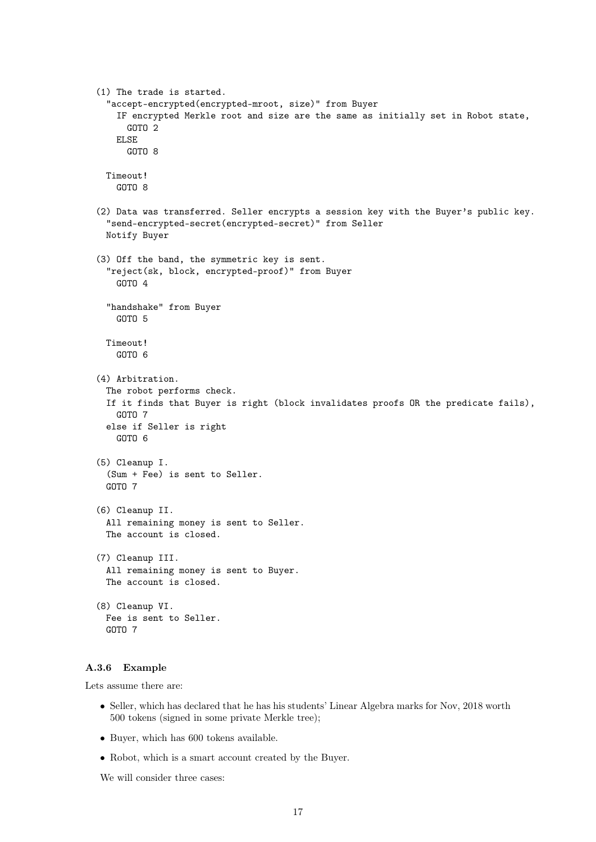```
(1) The trade is started.
 "accept-encrypted(encrypted-mroot, size)" from Buyer
   IF encrypted Merkle root and size are the same as initially set in Robot state,
     GOTO 2
   ELSE
     GOTO 8
 Timeout!
   GOTO 8
(2) Data was transferred. Seller encrypts a session key with the Buyer's public key.
 "send-encrypted-secret(encrypted-secret)" from Seller
 Notify Buyer
(3) Off the band, the symmetric key is sent.
 "reject(sk, block, encrypted-proof)" from Buyer
   GOTO 4
 "handshake" from Buyer
   GOTO 5
 Timeout!
   GOTO 6
(4) Arbitration.
 The robot performs check.
 If it finds that Buyer is right (block invalidates proofs OR the predicate fails),
   GOTO 7
 else if Seller is right
   GOTO 6
(5) Cleanup I.
 (Sum + Fee) is sent to Seller.
 GOTO 7
(6) Cleanup II.
 All remaining money is sent to Seller.
 The account is closed.
(7) Cleanup III.
 All remaining money is sent to Buyer.
 The account is closed.
(8) Cleanup VI.
 Fee is sent to Seller.
 GOTO 7
```
### A.3.6 Example

Lets assume there are:

- Seller, which has declared that he has his students' Linear Algebra marks for Nov, 2018 worth 500 tokens (signed in some private Merkle tree);
- Buyer, which has 600 tokens available.
- Robot, which is a smart account created by the Buyer.

We will consider three cases: